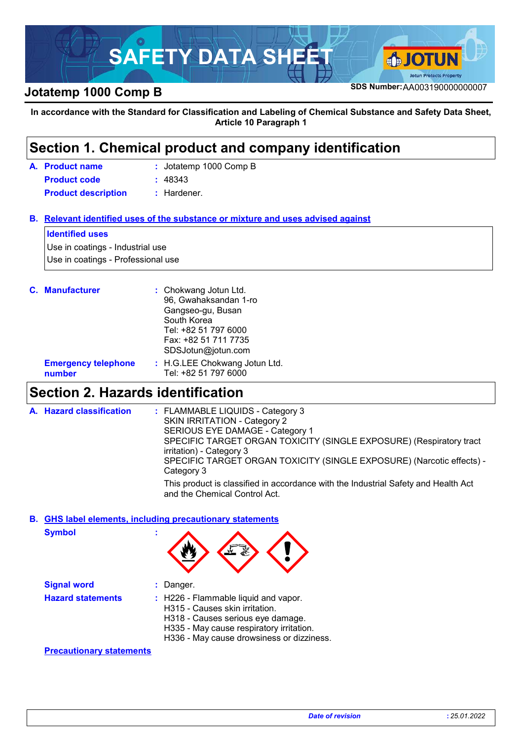

**In accordance with the Standard for Classification and Labeling of Chemical Substance and Safety Data Sheet, Article 10 Paragraph 1**

### Jotatemp 1000 Comp B **: Product name A. Section 1. Chemical product and company identification Relevant identified uses of the substance or mixture and uses advised against B. C. Manufacturer :** Chokwang Jotun Ltd. 96, Gwahaksandan 1-ro Gangseo-gu, Busan South Korea Tel: +82 51 797 6000 Fax: +82 51 711 7735 SDSJotun@jotun.com **Product code :** 48343 **Identified uses** Use in coatings - Industrial use Use in coatings - Professional use **Product description :** Hardener.

| <b>Emergency telephone</b> | : H.G.LEE Chokwang Jotun Ltd. |
|----------------------------|-------------------------------|
| number                     | Tel: +82 51 797 6000          |

### **Section 2. Hazards identification**

| A. Hazard classification | : FLAMMABLE LIQUIDS - Category 3<br>SKIN IRRITATION - Category 2<br>SERIOUS EYE DAMAGE - Category 1<br>SPECIFIC TARGET ORGAN TOXICITY (SINGLE EXPOSURE) (Respiratory tract<br>irritation) - Category 3<br>SPECIFIC TARGET ORGAN TOXICITY (SINGLE EXPOSURE) (Narcotic effects) -<br>Category 3 |
|--------------------------|-----------------------------------------------------------------------------------------------------------------------------------------------------------------------------------------------------------------------------------------------------------------------------------------------|
|                          | This product is classified in accordance with the Industrial Safety and Health Act<br>and the Chemical Control Act.                                                                                                                                                                           |

### **GHS label elements, including precautionary statements B.**

**Symbol :**

| $\mathbf{v}$ , $\mathbf{v}$ |                                                                                                          |  |  |
|-----------------------------|----------------------------------------------------------------------------------------------------------|--|--|
| <b>Signal word</b>          | $:$ Danger.                                                                                              |  |  |
| <b>Hazard statements</b>    | : H226 - Flammable liquid and vapor.<br>H315 - Causes skin irritation.<br>H318 Causes serious eve damage |  |  |

- H318 Causes serious eye damage.
- H335 May cause respiratory irritation.
- H336 May cause drowsiness or dizziness.

**Precautionary statements**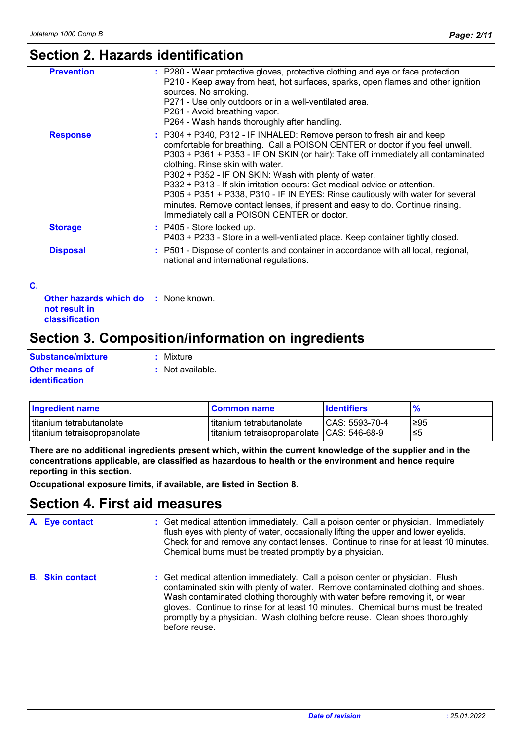### **Section 2. Hazards identification**

| <b>Prevention</b>                                            | : P280 - Wear protective gloves, protective clothing and eye or face protection.<br>P210 - Keep away from heat, hot surfaces, sparks, open flames and other ignition<br>sources. No smoking.<br>P271 - Use only outdoors or in a well-ventilated area.<br>P261 - Avoid breathing vapor.<br>P264 - Wash hands thoroughly after handling.                                                                                                                                                                                                                                                                                              |
|--------------------------------------------------------------|--------------------------------------------------------------------------------------------------------------------------------------------------------------------------------------------------------------------------------------------------------------------------------------------------------------------------------------------------------------------------------------------------------------------------------------------------------------------------------------------------------------------------------------------------------------------------------------------------------------------------------------|
| <b>Response</b>                                              | : P304 + P340, P312 - IF INHALED: Remove person to fresh air and keep<br>comfortable for breathing. Call a POISON CENTER or doctor if you feel unwell.<br>P303 + P361 + P353 - IF ON SKIN (or hair): Take off immediately all contaminated<br>clothing. Rinse skin with water.<br>P302 + P352 - IF ON SKIN: Wash with plenty of water.<br>P332 + P313 - If skin irritation occurs: Get medical advice or attention.<br>P305 + P351 + P338, P310 - IF IN EYES: Rinse cautiously with water for several<br>minutes. Remove contact lenses, if present and easy to do. Continue rinsing.<br>Immediately call a POISON CENTER or doctor. |
| <b>Storage</b>                                               | : P405 - Store locked up.<br>P403 + P233 - Store in a well-ventilated place. Keep container tightly closed.                                                                                                                                                                                                                                                                                                                                                                                                                                                                                                                          |
| <b>Disposal</b>                                              | : P501 - Dispose of contents and container in accordance with all local, regional,<br>national and international regulations.                                                                                                                                                                                                                                                                                                                                                                                                                                                                                                        |
| <b>Other hazards which do : None known.</b><br>not result in |                                                                                                                                                                                                                                                                                                                                                                                                                                                                                                                                                                                                                                      |

# **Section 3. Composition/information on ingredients**

| <b>Substance/mixture</b> | : Mixture        |
|--------------------------|------------------|
| <b>Other means of</b>    | : Not available. |
| <b>identification</b>    |                  |

**classification**

**C.**

| <b>Ingredient name</b>       | <b>Common name</b>                           | <b>I</b> dentifiers | $\frac{9}{6}$ |
|------------------------------|----------------------------------------------|---------------------|---------------|
| I titanium tetrabutanolate   | Ititanium tetrabutanolate                    | $ CAS: 5593-70-4$   | ≥95           |
| titanium tetraisopropanolate | titanium tetraisopropanolate   CAS: 546-68-9 |                     | -≤5           |

**There are no additional ingredients present which, within the current knowledge of the supplier and in the concentrations applicable, are classified as hazardous to health or the environment and hence require reporting in this section.**

**Occupational exposure limits, if available, are listed in Section 8.**

### **Section 4. First aid measures**

| A. Eye contact         | : Get medical attention immediately. Call a poison center or physician. Immediately<br>flush eyes with plenty of water, occasionally lifting the upper and lower eyelids.<br>Check for and remove any contact lenses. Continue to rinse for at least 10 minutes.<br>Chemical burns must be treated promptly by a physician.                                                                                                           |
|------------------------|---------------------------------------------------------------------------------------------------------------------------------------------------------------------------------------------------------------------------------------------------------------------------------------------------------------------------------------------------------------------------------------------------------------------------------------|
| <b>B.</b> Skin contact | : Get medical attention immediately. Call a poison center or physician. Flush<br>contaminated skin with plenty of water. Remove contaminated clothing and shoes.<br>Wash contaminated clothing thoroughly with water before removing it, or wear<br>gloves. Continue to rinse for at least 10 minutes. Chemical burns must be treated<br>promptly by a physician. Wash clothing before reuse. Clean shoes thoroughly<br>before reuse. |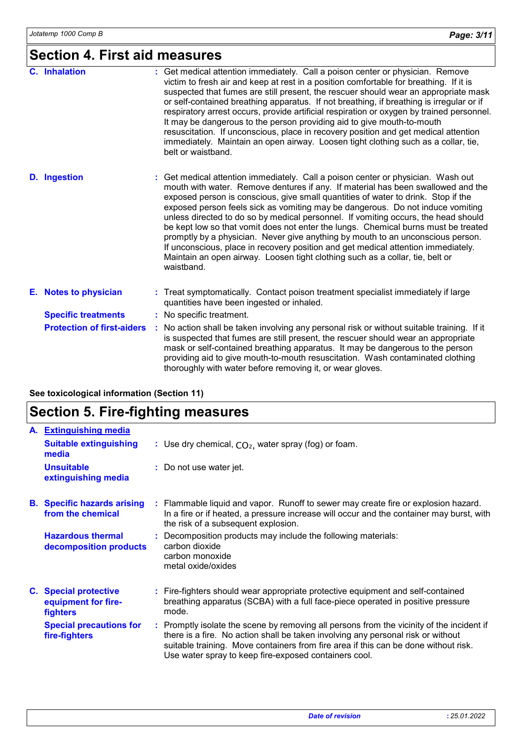## **Section 4. First aid measures**

| C. Inhalation                     | : Get medical attention immediately. Call a poison center or physician. Remove<br>victim to fresh air and keep at rest in a position comfortable for breathing. If it is<br>suspected that fumes are still present, the rescuer should wear an appropriate mask<br>or self-contained breathing apparatus. If not breathing, if breathing is irregular or if<br>respiratory arrest occurs, provide artificial respiration or oxygen by trained personnel.<br>It may be dangerous to the person providing aid to give mouth-to-mouth<br>resuscitation. If unconscious, place in recovery position and get medical attention<br>immediately. Maintain an open airway. Loosen tight clothing such as a collar, tie,<br>belt or waistband.                                                          |
|-----------------------------------|------------------------------------------------------------------------------------------------------------------------------------------------------------------------------------------------------------------------------------------------------------------------------------------------------------------------------------------------------------------------------------------------------------------------------------------------------------------------------------------------------------------------------------------------------------------------------------------------------------------------------------------------------------------------------------------------------------------------------------------------------------------------------------------------|
| <b>D.</b> Ingestion               | : Get medical attention immediately. Call a poison center or physician. Wash out<br>mouth with water. Remove dentures if any. If material has been swallowed and the<br>exposed person is conscious, give small quantities of water to drink. Stop if the<br>exposed person feels sick as vomiting may be dangerous. Do not induce vomiting<br>unless directed to do so by medical personnel. If vomiting occurs, the head should<br>be kept low so that vomit does not enter the lungs. Chemical burns must be treated<br>promptly by a physician. Never give anything by mouth to an unconscious person.<br>If unconscious, place in recovery position and get medical attention immediately.<br>Maintain an open airway. Loosen tight clothing such as a collar, tie, belt or<br>waistband. |
| E. Notes to physician             | : Treat symptomatically. Contact poison treatment specialist immediately if large<br>quantities have been ingested or inhaled.                                                                                                                                                                                                                                                                                                                                                                                                                                                                                                                                                                                                                                                                 |
| <b>Specific treatments</b>        | : No specific treatment.                                                                                                                                                                                                                                                                                                                                                                                                                                                                                                                                                                                                                                                                                                                                                                       |
| <b>Protection of first-aiders</b> | : No action shall be taken involving any personal risk or without suitable training. If it<br>is suspected that fumes are still present, the rescuer should wear an appropriate<br>mask or self-contained breathing apparatus. It may be dangerous to the person<br>providing aid to give mouth-to-mouth resuscitation. Wash contaminated clothing<br>thoroughly with water before removing it, or wear gloves.                                                                                                                                                                                                                                                                                                                                                                                |

### **See toxicological information (Section 11)**

# **Section 5. Fire-fighting measures**

| A. Extinguishing media                                                 |                                                                                                                                                                                                                                                                                                                               |
|------------------------------------------------------------------------|-------------------------------------------------------------------------------------------------------------------------------------------------------------------------------------------------------------------------------------------------------------------------------------------------------------------------------|
| <b>Suitable extinguishing</b><br>media                                 | : Use dry chemical, $CO2$ , water spray (fog) or foam.                                                                                                                                                                                                                                                                        |
| <b>Unsuitable</b><br>extinguishing media                               | : Do not use water jet.                                                                                                                                                                                                                                                                                                       |
| <b>B.</b> Specific hazards arising<br>from the chemical                | : Flammable liquid and vapor. Runoff to sewer may create fire or explosion hazard.<br>In a fire or if heated, a pressure increase will occur and the container may burst, with<br>the risk of a subsequent explosion.                                                                                                         |
| <b>Hazardous thermal</b><br>decomposition products                     | : Decomposition products may include the following materials:<br>carbon dioxide<br>carbon monoxide<br>metal oxide/oxides                                                                                                                                                                                                      |
| <b>C.</b> Special protective<br>equipment for fire-<br><b>fighters</b> | : Fire-fighters should wear appropriate protective equipment and self-contained<br>breathing apparatus (SCBA) with a full face-piece operated in positive pressure<br>mode.                                                                                                                                                   |
| <b>Special precautions for</b><br>fire-fighters                        | : Promptly isolate the scene by removing all persons from the vicinity of the incident if<br>there is a fire. No action shall be taken involving any personal risk or without<br>suitable training. Move containers from fire area if this can be done without risk.<br>Use water spray to keep fire-exposed containers cool. |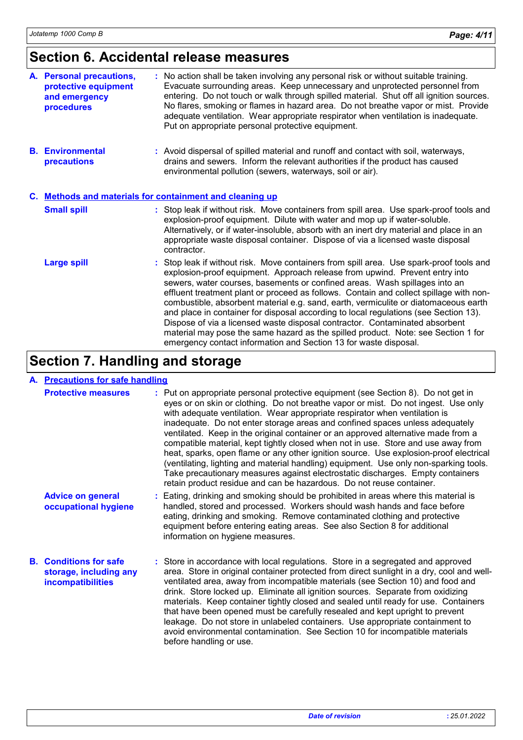# **Section 6. Accidental release measures**

| A. Personal precautions,<br>protective equipment<br>and emergency<br>procedures | : No action shall be taken involving any personal risk or without suitable training.<br>Evacuate surrounding areas. Keep unnecessary and unprotected personnel from<br>entering. Do not touch or walk through spilled material. Shut off all ignition sources.<br>No flares, smoking or flames in hazard area. Do not breathe vapor or mist. Provide<br>adequate ventilation. Wear appropriate respirator when ventilation is inadequate.<br>Put on appropriate personal protective equipment.                                                                                                                                                                                                                                                                        |  |  |
|---------------------------------------------------------------------------------|-----------------------------------------------------------------------------------------------------------------------------------------------------------------------------------------------------------------------------------------------------------------------------------------------------------------------------------------------------------------------------------------------------------------------------------------------------------------------------------------------------------------------------------------------------------------------------------------------------------------------------------------------------------------------------------------------------------------------------------------------------------------------|--|--|
| <b>B.</b> Environmental<br>precautions                                          | : Avoid dispersal of spilled material and runoff and contact with soil, waterways,<br>drains and sewers. Inform the relevant authorities if the product has caused<br>environmental pollution (sewers, waterways, soil or air).                                                                                                                                                                                                                                                                                                                                                                                                                                                                                                                                       |  |  |
| C. Methods and materials for containment and cleaning up                        |                                                                                                                                                                                                                                                                                                                                                                                                                                                                                                                                                                                                                                                                                                                                                                       |  |  |
| <b>Small spill</b>                                                              | : Stop leak if without risk. Move containers from spill area. Use spark-proof tools and<br>explosion-proof equipment. Dilute with water and mop up if water-soluble.<br>Alternatively, or if water-insoluble, absorb with an inert dry material and place in an<br>appropriate waste disposal container. Dispose of via a licensed waste disposal<br>contractor.                                                                                                                                                                                                                                                                                                                                                                                                      |  |  |
| <b>Large spill</b>                                                              | : Stop leak if without risk. Move containers from spill area. Use spark-proof tools and<br>explosion-proof equipment. Approach release from upwind. Prevent entry into<br>sewers, water courses, basements or confined areas. Wash spillages into an<br>effluent treatment plant or proceed as follows. Contain and collect spillage with non-<br>combustible, absorbent material e.g. sand, earth, vermiculite or diatomaceous earth<br>and place in container for disposal according to local regulations (see Section 13).<br>Dispose of via a licensed waste disposal contractor. Contaminated absorbent<br>material may pose the same hazard as the spilled product. Note: see Section 1 for<br>emergency contact information and Section 13 for waste disposal. |  |  |

# **Section 7. Handling and storage**

### **A. Precautions for safe handling**

| <b>Protective measures</b>                                                   | : Put on appropriate personal protective equipment (see Section 8). Do not get in<br>eyes or on skin or clothing. Do not breathe vapor or mist. Do not ingest. Use only<br>with adequate ventilation. Wear appropriate respirator when ventilation is<br>inadequate. Do not enter storage areas and confined spaces unless adequately<br>ventilated. Keep in the original container or an approved alternative made from a<br>compatible material, kept tightly closed when not in use. Store and use away from<br>heat, sparks, open flame or any other ignition source. Use explosion-proof electrical<br>(ventilating, lighting and material handling) equipment. Use only non-sparking tools.<br>Take precautionary measures against electrostatic discharges. Empty containers<br>retain product residue and can be hazardous. Do not reuse container. |
|------------------------------------------------------------------------------|-------------------------------------------------------------------------------------------------------------------------------------------------------------------------------------------------------------------------------------------------------------------------------------------------------------------------------------------------------------------------------------------------------------------------------------------------------------------------------------------------------------------------------------------------------------------------------------------------------------------------------------------------------------------------------------------------------------------------------------------------------------------------------------------------------------------------------------------------------------|
| <b>Advice on general</b><br>occupational hygiene                             | : Eating, drinking and smoking should be prohibited in areas where this material is<br>handled, stored and processed. Workers should wash hands and face before<br>eating, drinking and smoking. Remove contaminated clothing and protective<br>equipment before entering eating areas. See also Section 8 for additional<br>information on hygiene measures.                                                                                                                                                                                                                                                                                                                                                                                                                                                                                               |
| <b>B.</b> Conditions for safe<br>storage, including any<br>incompatibilities | : Store in accordance with local regulations. Store in a segregated and approved<br>area. Store in original container protected from direct sunlight in a dry, cool and well-<br>ventilated area, away from incompatible materials (see Section 10) and food and<br>drink. Store locked up. Eliminate all ignition sources. Separate from oxidizing<br>materials. Keep container tightly closed and sealed until ready for use. Containers<br>that have been opened must be carefully resealed and kept upright to prevent<br>leakage. Do not store in unlabeled containers. Use appropriate containment to<br>avoid environmental contamination. See Section 10 for incompatible materials<br>before handling or use.                                                                                                                                      |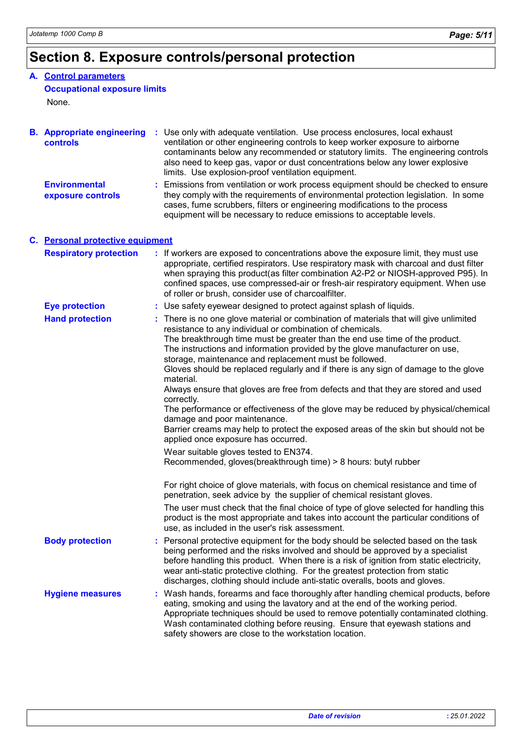# **Section 8. Exposure controls/personal protection**

### **A. Control parameters**

### **Occupational exposure limits**

None.

| <b>B.</b> Appropriate engineering<br>controls | : Use only with adequate ventilation. Use process enclosures, local exhaust<br>ventilation or other engineering controls to keep worker exposure to airborne<br>contaminants below any recommended or statutory limits. The engineering controls<br>also need to keep gas, vapor or dust concentrations below any lower explosive<br>limits. Use explosion-proof ventilation equipment.                                                                                                                                                                                                                                                                                                                                                                                                                                             |
|-----------------------------------------------|-------------------------------------------------------------------------------------------------------------------------------------------------------------------------------------------------------------------------------------------------------------------------------------------------------------------------------------------------------------------------------------------------------------------------------------------------------------------------------------------------------------------------------------------------------------------------------------------------------------------------------------------------------------------------------------------------------------------------------------------------------------------------------------------------------------------------------------|
| <b>Environmental</b><br>exposure controls     | Emissions from ventilation or work process equipment should be checked to ensure<br>they comply with the requirements of environmental protection legislation. In some<br>cases, fume scrubbers, filters or engineering modifications to the process<br>equipment will be necessary to reduce emissions to acceptable levels.                                                                                                                                                                                                                                                                                                                                                                                                                                                                                                       |
| C. Personal protective equipment              |                                                                                                                                                                                                                                                                                                                                                                                                                                                                                                                                                                                                                                                                                                                                                                                                                                     |
| <b>Respiratory protection</b>                 | : If workers are exposed to concentrations above the exposure limit, they must use<br>appropriate, certified respirators. Use respiratory mask with charcoal and dust filter<br>when spraying this product(as filter combination A2-P2 or NIOSH-approved P95). In<br>confined spaces, use compressed-air or fresh-air respiratory equipment. When use<br>of roller or brush, consider use of charcoalfilter.                                                                                                                                                                                                                                                                                                                                                                                                                        |
| <b>Eye protection</b>                         | : Use safety eyewear designed to protect against splash of liquids.                                                                                                                                                                                                                                                                                                                                                                                                                                                                                                                                                                                                                                                                                                                                                                 |
| <b>Hand protection</b>                        | : There is no one glove material or combination of materials that will give unlimited<br>resistance to any individual or combination of chemicals.<br>The breakthrough time must be greater than the end use time of the product.<br>The instructions and information provided by the glove manufacturer on use,<br>storage, maintenance and replacement must be followed.<br>Gloves should be replaced regularly and if there is any sign of damage to the glove<br>material.<br>Always ensure that gloves are free from defects and that they are stored and used<br>correctly.<br>The performance or effectiveness of the glove may be reduced by physical/chemical<br>damage and poor maintenance.<br>Barrier creams may help to protect the exposed areas of the skin but should not be<br>applied once exposure has occurred. |
|                                               | Wear suitable gloves tested to EN374.<br>Recommended, gloves(breakthrough time) > 8 hours: butyl rubber                                                                                                                                                                                                                                                                                                                                                                                                                                                                                                                                                                                                                                                                                                                             |
|                                               | For right choice of glove materials, with focus on chemical resistance and time of<br>penetration, seek advice by the supplier of chemical resistant gloves.<br>The user must check that the final choice of type of glove selected for handling this<br>product is the most appropriate and takes into account the particular conditions of                                                                                                                                                                                                                                                                                                                                                                                                                                                                                        |
|                                               | use, as included in the user's risk assessment.                                                                                                                                                                                                                                                                                                                                                                                                                                                                                                                                                                                                                                                                                                                                                                                     |
| <b>Body protection</b>                        | Personal protective equipment for the body should be selected based on the task<br>being performed and the risks involved and should be approved by a specialist<br>before handling this product. When there is a risk of ignition from static electricity,<br>wear anti-static protective clothing. For the greatest protection from static<br>discharges, clothing should include anti-static overalls, boots and gloves.                                                                                                                                                                                                                                                                                                                                                                                                         |
| <b>Hygiene measures</b>                       | : Wash hands, forearms and face thoroughly after handling chemical products, before<br>eating, smoking and using the lavatory and at the end of the working period.<br>Appropriate techniques should be used to remove potentially contaminated clothing.<br>Wash contaminated clothing before reusing. Ensure that eyewash stations and<br>safety showers are close to the workstation location.                                                                                                                                                                                                                                                                                                                                                                                                                                   |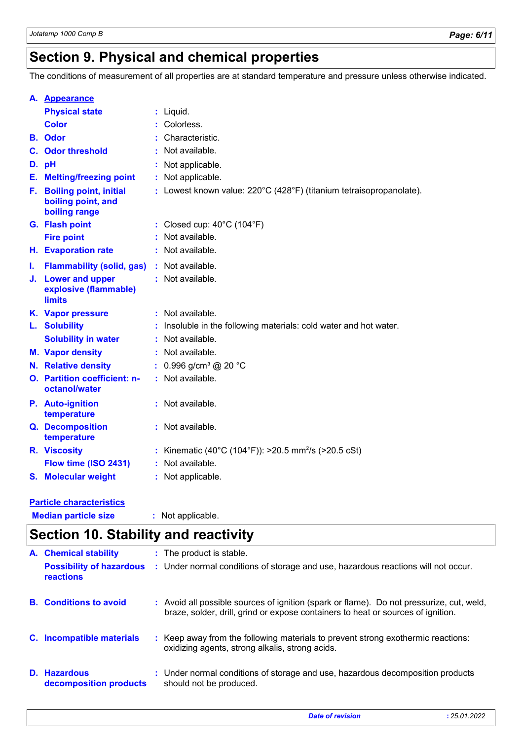# **Section 9. Physical and chemical properties**

The conditions of measurement of all properties are at standard temperature and pressure unless otherwise indicated.

|    | A. Appearance                                                        |                                                                     |
|----|----------------------------------------------------------------------|---------------------------------------------------------------------|
|    | <b>Physical state</b>                                                | : Liquid.                                                           |
|    | <b>Color</b>                                                         | Colorless.                                                          |
|    | <b>B.</b> Odor                                                       | Characteristic.                                                     |
|    | <b>C.</b> Odor threshold                                             | Not available.                                                      |
|    | D. pH                                                                | Not applicable.                                                     |
|    | <b>E.</b> Melting/freezing point                                     | : Not applicable.                                                   |
| F. | <b>Boiling point, initial</b><br>boiling point, and<br>boiling range | : Lowest known value: 220°C (428°F) (titanium tetraisopropanolate). |
|    | G. Flash point                                                       | : Closed cup: $40^{\circ}$ C (104 $^{\circ}$ F)                     |
|    | <b>Fire point</b>                                                    | Not available.                                                      |
|    | <b>H.</b> Evaporation rate                                           | Not available.                                                      |
| ı. | Flammability (solid, gas) : Not available.                           |                                                                     |
|    | J. Lower and upper<br>explosive (flammable)<br><b>limits</b>         | : Not available.                                                    |
|    | K. Vapor pressure                                                    | : Not available.                                                    |
|    | L. Solubility                                                        | Insoluble in the following materials: cold water and hot water.     |
|    | <b>Solubility in water</b>                                           | Not available.                                                      |
|    | <b>M.</b> Vapor density                                              | : Not available.                                                    |
|    | N. Relative density                                                  | 0.996 g/cm <sup>3</sup> @ 20 °C                                     |
|    | <b>O.</b> Partition coefficient: n-<br>octanol/water                 | : Not available.                                                    |
|    | P. Auto-ignition<br>temperature                                      | : Not available.                                                    |
|    | <b>Q.</b> Decomposition<br>temperature                               | : Not available.                                                    |
|    | R. Viscosity                                                         | : Kinematic (40°C (104°F)): >20.5 mm <sup>2</sup> /s (>20.5 cSt)    |
|    | Flow time (ISO 2431)                                                 | Not available.                                                      |
|    | S. Molecular weight                                                  | : Not applicable.                                                   |
|    | <b>Particle characteristics</b>                                      |                                                                     |

**Median particle size :** Not applicable.

|                              | <b>Section 10. Stability and reactivity</b>   |  |                                                                                                                                                                              |  |  |  |
|------------------------------|-----------------------------------------------|--|------------------------------------------------------------------------------------------------------------------------------------------------------------------------------|--|--|--|
| <b>A.</b> Chemical stability | : The product is stable.                      |  |                                                                                                                                                                              |  |  |  |
|                              | <b>Possibility of hazardous</b><br>reactions  |  | : Under normal conditions of storage and use, hazardous reactions will not occur.                                                                                            |  |  |  |
|                              | <b>B.</b> Conditions to avoid                 |  | : Avoid all possible sources of ignition (spark or flame). Do not pressurize, cut, weld,<br>braze, solder, drill, grind or expose containers to heat or sources of ignition. |  |  |  |
|                              | C. Incompatible materials                     |  | : Keep away from the following materials to prevent strong exothermic reactions:<br>oxidizing agents, strong alkalis, strong acids.                                          |  |  |  |
|                              | <b>D.</b> Hazardous<br>decomposition products |  | : Under normal conditions of storage and use, hazardous decomposition products<br>should not be produced.                                                                    |  |  |  |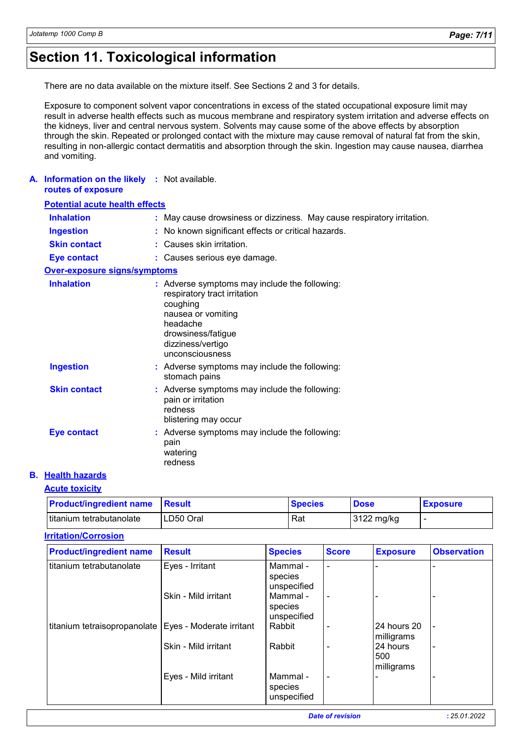# **Section 11. Toxicological information**

There are no data available on the mixture itself. See Sections 2 and 3 for details.

Exposure to component solvent vapor concentrations in excess of the stated occupational exposure limit may result in adverse health effects such as mucous membrane and respiratory system irritation and adverse effects on the kidneys, liver and central nervous system. Solvents may cause some of the above effects by absorption through the skin. Repeated or prolonged contact with the mixture may cause removal of natural fat from the skin, resulting in non-allergic contact dermatitis and absorption through the skin. Ingestion may cause nausea, diarrhea and vomiting.

#### **A. Information on the likely :** Not available. **routes of exposure**

| <b>Potential acute health effects</b> |                                                                                                                                                                                           |  |  |  |  |
|---------------------------------------|-------------------------------------------------------------------------------------------------------------------------------------------------------------------------------------------|--|--|--|--|
| <b>Inhalation</b>                     | : May cause drowsiness or dizziness. May cause respiratory irritation.                                                                                                                    |  |  |  |  |
| <b>Ingestion</b>                      | : No known significant effects or critical hazards.                                                                                                                                       |  |  |  |  |
| <b>Skin contact</b>                   | $:$ Causes skin irritation.                                                                                                                                                               |  |  |  |  |
| <b>Eye contact</b>                    | : Causes serious eye damage.                                                                                                                                                              |  |  |  |  |
| <b>Over-exposure signs/symptoms</b>   |                                                                                                                                                                                           |  |  |  |  |
| <b>Inhalation</b>                     | : Adverse symptoms may include the following:<br>respiratory tract irritation<br>coughing<br>nausea or vomiting<br>headache<br>drowsiness/fatigue<br>dizziness/vertigo<br>unconsciousness |  |  |  |  |
| <b>Ingestion</b>                      | : Adverse symptoms may include the following:<br>stomach pains                                                                                                                            |  |  |  |  |
| <b>Skin contact</b>                   | : Adverse symptoms may include the following:<br>pain or irritation<br>redness<br>blistering may occur                                                                                    |  |  |  |  |
| <b>Eye contact</b>                    | : Adverse symptoms may include the following:<br>pain<br>watering<br>redness                                                                                                              |  |  |  |  |

### **B. Health hazards**

### **Acute toxicity**

| <b>Product/ingredient name Result</b> |           | <b>Species</b> | <b>Dose</b> | <b>Exposure</b> |
|---------------------------------------|-----------|----------------|-------------|-----------------|
| titanium tetrabutanolate              | LD50 Oral | Rat            | 3122 mg/kg  |                 |

#### **Irritation/Corrosion**

| <b>Product/ingredient name</b>                          | <b>Result</b>        | <b>Species</b>                     | <b>Score</b>   | <b>Exposure</b>               | <b>Observation</b> |
|---------------------------------------------------------|----------------------|------------------------------------|----------------|-------------------------------|--------------------|
| titanium tetrabutanolate                                | Eyes - Irritant      | Mammal -<br>species<br>unspecified | $\blacksquare$ |                               |                    |
|                                                         | Skin - Mild irritant | Mammal -<br>species<br>unspecified | ٠              |                               |                    |
| titanium tetraisopropanolate   Eyes - Moderate irritant |                      | Rabbit                             | ۰              | l 24 hours 20<br>milligrams   |                    |
|                                                         | Skin - Mild irritant | Rabbit                             | ۰              | 24 hours<br>500<br>milligrams |                    |
|                                                         | Eyes - Mild irritant | Mammal-<br>species<br>unspecified  | ۰              |                               |                    |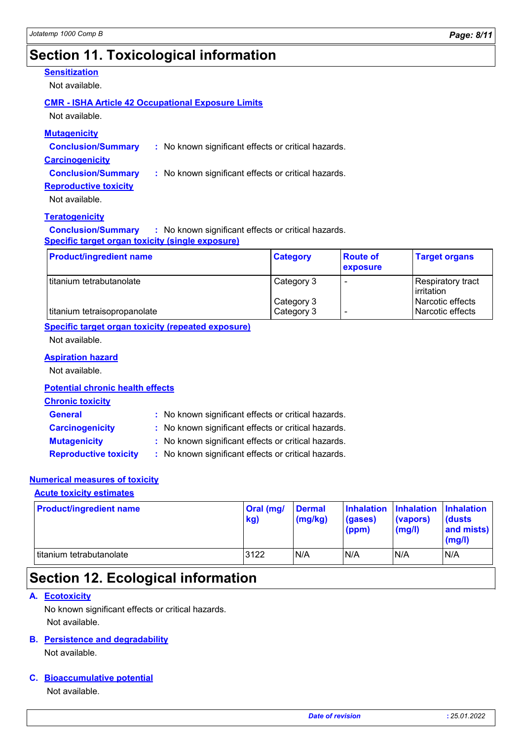# **Section 11. Toxicological information**

### **Sensitization**

Not available.

#### **CMR - ISHA Article 42 Occupational Exposure Limits**

Not available.

| <b>Mutagenicity</b>       |                                                     |  |  |  |  |
|---------------------------|-----------------------------------------------------|--|--|--|--|
| <b>Conclusion/Summary</b> | : No known significant effects or critical hazards. |  |  |  |  |
| <b>Carcinogenicity</b>    |                                                     |  |  |  |  |
| <b>Conclusion/Summary</b> | : No known significant effects or critical hazards. |  |  |  |  |

**Reproductive toxicity**

Not available.

#### **Teratogenicity**

**Conclusion/Summary :** No known significant effects or critical hazards. **Specific target organ toxicity (single exposure)**

| <b>Product/ingredient name</b> | <b>Category</b> | <b>Route of</b><br><b>exposure</b> | <b>Target organs</b>                    |
|--------------------------------|-----------------|------------------------------------|-----------------------------------------|
| l titanium tetrabutanolate     | Category 3      | $\overline{\phantom{0}}$           | <b>Respiratory tract</b><br>lirritation |
|                                | Category 3      |                                    | Narcotic effects                        |
| titanium tetraisopropanolate   | Category 3      | $\overline{\phantom{0}}$           | Narcotic effects                        |

#### **Specific target organ toxicity (repeated exposure)**

Not available.

#### **Aspiration hazard**

Not available.

#### **Potential chronic health effects**

### **Chronic toxicity**

| <b>General</b>               | : No known significant effects or critical hazards. |
|------------------------------|-----------------------------------------------------|
| <b>Carcinogenicity</b>       | : No known significant effects or critical hazards. |
| <b>Mutagenicity</b>          | : No known significant effects or critical hazards. |
| <b>Reproductive toxicity</b> | : No known significant effects or critical hazards. |

#### **Numerical measures of toxicity**

#### **Acute toxicity estimates**

| <b>Product/ingredient name</b> | Oral (mg/<br>kg) | <b>Dermal</b><br>(mg/kg) | Inhalation Inhalation Inhalation<br>(gases)<br>(ppm) | (vapors)<br>(mg/l) | <b>(dusts)</b><br>and mists)<br>(mg/l) |
|--------------------------------|------------------|--------------------------|------------------------------------------------------|--------------------|----------------------------------------|
| I titanium tetrabutanolate     | 3122             | N/A                      | N/A                                                  | N/A                | N/A                                    |

# **Section 12. Ecological information**

#### **A. Ecotoxicity**

Not available. No known significant effects or critical hazards.

#### **Persistence and degradability B.**

Not available.

#### **Bioaccumulative potential C.**

Not available.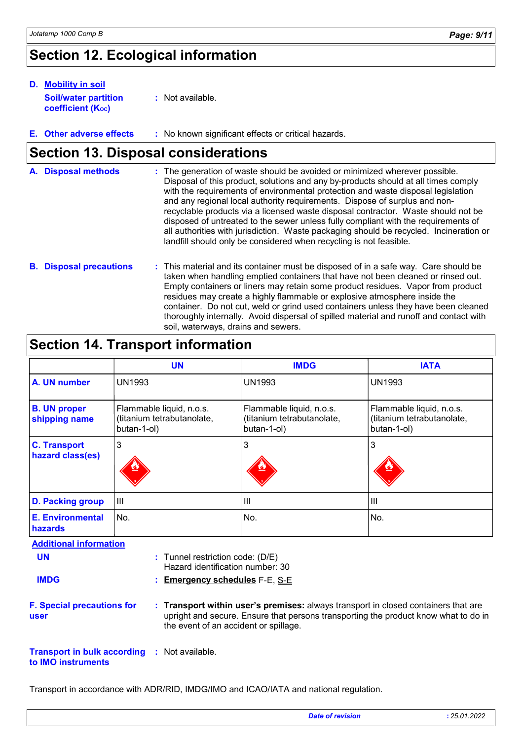# **Section 12. Ecological information**

| <b>D.</b> Mobility in soil                              |                  |  |  |  |  |
|---------------------------------------------------------|------------------|--|--|--|--|
| <b>Soil/water partition</b><br><b>coefficient (Koc)</b> | : Not available. |  |  |  |  |

**:** No known significant effects or critical hazards. **E.**

### **Section 13. Disposal considerations**

| A. Disposal methods | : The generation of waste should be avoided or minimized wherever possible.<br>Disposal of this product, solutions and any by-products should at all times comply<br>with the requirements of environmental protection and waste disposal legislation<br>and any regional local authority requirements. Dispose of surplus and non-<br>recyclable products via a licensed waste disposal contractor. Waste should not be<br>disposed of untreated to the sewer unless fully compliant with the requirements of<br>all authorities with jurisdiction. Waste packaging should be recycled. Incineration or<br>landfill should only be considered when recycling is not feasible. |
|---------------------|--------------------------------------------------------------------------------------------------------------------------------------------------------------------------------------------------------------------------------------------------------------------------------------------------------------------------------------------------------------------------------------------------------------------------------------------------------------------------------------------------------------------------------------------------------------------------------------------------------------------------------------------------------------------------------|
|                     |                                                                                                                                                                                                                                                                                                                                                                                                                                                                                                                                                                                                                                                                                |

**B. Disposal precautions :** This material and its container must be disposed of in a safe way. Care should be taken when handling emptied containers that have not been cleaned or rinsed out. Empty containers or liners may retain some product residues. Vapor from product residues may create a highly flammable or explosive atmosphere inside the container. Do not cut, weld or grind used containers unless they have been cleaned thoroughly internally. Avoid dispersal of spilled material and runoff and contact with soil, waterways, drains and sewers.

### **Section 14. Transport information**

|                                         | <b>UN</b>                                                             | <b>IMDG</b>                                                           | <b>IATA</b>                                                           |
|-----------------------------------------|-----------------------------------------------------------------------|-----------------------------------------------------------------------|-----------------------------------------------------------------------|
| A. UN number                            | <b>UN1993</b>                                                         | <b>UN1993</b>                                                         | <b>UN1993</b>                                                         |
| <b>B. UN proper</b><br>shipping name    | Flammable liquid, n.o.s.<br>(titanium tetrabutanolate,<br>butan-1-ol) | Flammable liquid, n.o.s.<br>(titanium tetrabutanolate,<br>butan-1-ol) | Flammable liquid, n.o.s.<br>(titanium tetrabutanolate,<br>butan-1-ol) |
| <b>C. Transport</b><br>hazard class(es) | 3                                                                     | 3                                                                     | 3                                                                     |
| D. Packing group                        | $\mathbf{III}$                                                        | III                                                                   | $\mathbf{III}$                                                        |
| <b>E. Environmental</b><br>hazards      | No.                                                                   | No.                                                                   | No.                                                                   |

**Additional information**

**UN**

Tunnel restriction code: (D/E) **:** Hazard identification number: 30

- **IMDG**
- **Emergency schedules** F-E, S-E **:**

**F. Special precautions for user**

**Transport within user's premises:** always transport in closed containers that are **:** upright and secure. Ensure that persons transporting the product know what to do in the event of an accident or spillage.

**Transport in bulk according to IMO instruments :** Not available.

Transport in accordance with ADR/RID, IMDG/IMO and ICAO/IATA and national regulation.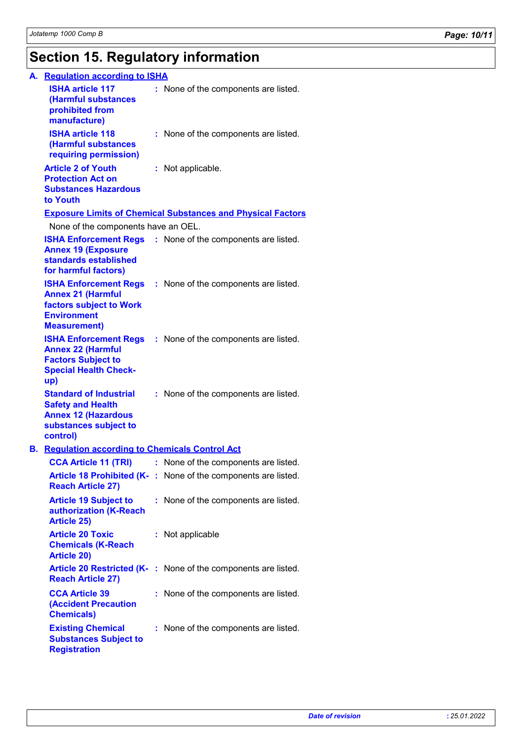# **Section 15. Regulatory information**

| A. Regulation according to ISHA                                                                                              |                                                                    |
|------------------------------------------------------------------------------------------------------------------------------|--------------------------------------------------------------------|
| <b>ISHA article 117</b><br>(Harmful substances<br>prohibited from<br>manufacture)                                            | : None of the components are listed.                               |
| <b>ISHA article 118</b><br>(Harmful substances<br>requiring permission)                                                      | : None of the components are listed.                               |
| <b>Article 2 of Youth</b><br><b>Protection Act on</b><br><b>Substances Hazardous</b><br>to Youth                             | : Not applicable.                                                  |
|                                                                                                                              | <b>Exposure Limits of Chemical Substances and Physical Factors</b> |
| None of the components have an OEL.                                                                                          |                                                                    |
| <b>Annex 19 (Exposure</b><br>standards established<br>for harmful factors)                                                   | <b>ISHA Enforcement Regs</b> : None of the components are listed.  |
| <b>Annex 21 (Harmful</b><br><b>factors subject to Work</b><br><b>Environment</b><br><b>Measurement)</b>                      | <b>ISHA Enforcement Regs</b> : None of the components are listed.  |
| <b>ISHA Enforcement Regs</b><br><b>Annex 22 (Harmful</b><br><b>Factors Subject to</b><br><b>Special Health Check-</b><br>up) | : None of the components are listed.                               |
| <b>Standard of Industrial</b><br><b>Safety and Health</b><br><b>Annex 12 (Hazardous</b><br>substances subject to<br>control) | : None of the components are listed.                               |
| <b>B.</b> Regulation according to Chemicals Control Act                                                                      |                                                                    |
|                                                                                                                              | <b>CCA Article 11 (TRI)</b> : None of the components are listed.   |
| <b>Reach Article 27)</b>                                                                                                     | Article 18 Prohibited (K-: None of the components are listed.      |
| <b>Article 19 Subject to</b><br>authorization (K-Reach<br><b>Article 25)</b>                                                 | : None of the components are listed.                               |
| <b>Article 20 Toxic</b><br><b>Chemicals (K-Reach</b><br><b>Article 20)</b>                                                   | : Not applicable                                                   |
| <b>Reach Article 27)</b>                                                                                                     | Article 20 Restricted (K-: None of the components are listed.      |
| <b>CCA Article 39</b><br><b>(Accident Precaution</b><br><b>Chemicals)</b>                                                    | : None of the components are listed.                               |
| <b>Existing Chemical</b><br><b>Substances Subject to</b><br><b>Registration</b>                                              | : None of the components are listed.                               |